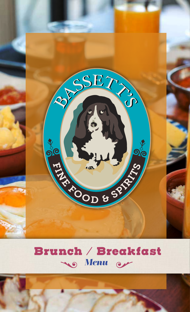

# **Brunch / Breakfast** No Menu or